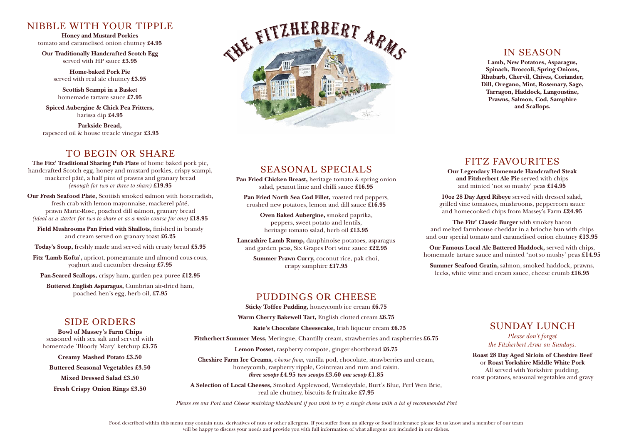# NIBBLE WITH YOUR TIPPLE

**Honey and Mustard Porkies** tomato and caramelised onion chutney **£4.95**

**Our Traditionally Handcrafted Scotch Egg** served with HP sauce **£3.95**

**Home-baked Pork Pie** served with real ale chutney **£3.95**

**Scottish Scampi in a Basket**  homemade tartare sauce **£7.95**

**Spiced Aubergine & Chick Pea Fritters,**  harissa dip **£4.95**

**Parkside Bread,** rapeseed oil & house treacle vinegar **£3.95**

# TO BEGIN OR SHARE

**The Fitz' Traditional Sharing Pub Plate** of home baked pork pie, handcrafted Scotch egg, honey and mustard porkies, crispy scampi, mackerel pâté, a half pint of prawns and granary bread *(enough for two or three to share)* **£19.95**

**Our Fresh Seafood Plate,** Scottish smoked salmon with horseradish, fresh crab with lemon mayonnaise, mackerel pâté, prawn Marie-Rose, poached dill salmon, granary bread *(ideal as a starter for two to share or as a main course for one)* **£18.95**

**Field Mushrooms Pan Fried with Shallots,** finished in brandy and cream served on granary toast **£6.25**

**Today's Soup,** freshly made and served with crusty bread **£5.95**

**Fitz 'Lamb Kofta',** apricot, pomegranate and almond cous-cous, yoghurt and cucumber dressing **£7.95** 

**Pan-Seared Scallops,** crispy ham, garden pea puree **£12.95**

**Buttered English Asparagus,** Cumbrian air-dried ham, poached hen's egg, herb oil, **£7.95** 

# THE FITZHERBERT ARMS

# IN SEASON

**Lamb, New Potatoes, Asparagus, Spinach, Broccoli, Spring Onions, Rhubarb, Chervil, Chives, Coriander, Dill, Oregano, Mint, Rosemary, Sage, Tarragon, Haddock, Langoustine, Prawns, Salmon, Cod, Samphire and Scallops.**

# SEASONAL SPECIALS

**Pan Fried Chicken Breast,** heritage tomato & spring onion salad, peanut lime and chilli sauce **£16.95** 

**Pan Fried North Sea Cod Fillet,** roasted red peppers, crushed new potatoes, lemon and dill sauce **£16.95** 

> **Oven Baked Aubergine,** smoked paprika, peppers, sweet potato and lentils, heritage tomato salad, herb oil **£13.95**

**Lancashire Lamb Rump,** dauphinoise potatoes, asparagus and garden peas, Six Grapes Port wine sauce **£22.95**

> **Summer Prawn Curry,** coconut rice, pak choi, crispy samphire **£17.95**

# FITZ FAVOURITES

**Our Legendary Homemade Handcrafted Steak and Fitzherbert Ale Pie** served with chips and minted 'not so mushy' peas **£14.95**

**10oz 28 Day Aged Ribeye** served with dressed salad, grilled vine tomatoes, mushrooms, peppercorn sauce and homecooked chips from Massey's Farm **£24.95**

**The Fitz' Classic Burger** with smokey bacon and melted farmhouse cheddar in a brioche bun with chips and our special tomato and caramelised onion chutney **£13.95**

**Our Famous Local Ale Battered Haddock,** served with chips, homemade tartare sauce and minted 'not so mushy' peas **£14.95**

**Summer Seafood Gratin,** salmon, smoked haddock, prawns, leeks, white wine and cream sauce, cheese crumb **£16.95** 

> SUNDAY LUNCH *Please don't forget the Fitzherbert Arms on Sundays.* **Roast 28 Day Aged Sirloin of Cheshire Beef** or **Roast Yorkshire Middle White Pork** All served with Yorkshire pudding, roast potatoes, seasonal vegetables and gravy

# PUDDINGS OR CHEESE

**Sticky Toffee Pudding,** honeycomb ice cream **£6.75**

**Warm Cherry Bakewell Tart,** English clotted cream **£6.75**

**Kate's Chocolate Cheesecake,** Irish liqueur cream **£6.75** 

**Fitzherbert Summer Mess,** Meringue, Chantilly cream, strawberries and raspberries **£6.75**

**Lemon Posset,** raspberry compote, ginger shortbread **£6.75**

**Cheshire Farm Ice Creams,** c*hoose from,* vanilla pod, chocolate, strawberries and cream, honeycomb, raspberry ripple, Cointreau and rum and raisin. *three scoops* **£4.95** *two scoops* **£3.60** *one scoop* **£1.85**

**A Selection of Local Cheeses,** Smoked Applewood, Wensleydale, Burt's Blue, Perl Wen Brie, real ale chutney, biscuits & fruitcake **£7.95**

*Please see our Port and Cheese matching blackboard if you wish to try a single cheese with a tot of recommended Port*

# SIDE ORDERS

**Bowl of Massey's Farm Chips** seasoned with sea salt and served with homemade 'Bloody Mary' ketchup **£3.75**

**Creamy Mashed Potato £3.50**

**Buttered Seasonal Vegetables £3.50**

**Mixed Dressed Salad £3.50**

**Fresh Crispy Onion Rings £3.50**

Food described within this menu may contain nuts, derivatives of nuts or other allergens. If you suffer from an allergy or food intolerance please let us know and a member of our team will be happy to discuss your needs and provide you with full information of what allergens are included in our dishes.